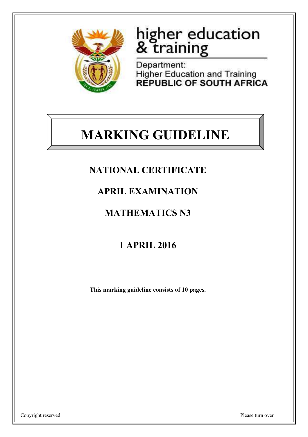

# higher education<br>& training

Department: **Higher Education and Training REPUBLIC OF SOUTH AFRICA** 

## **MARKING GUIDELINE**

## **NATIONAL CERTIFICATE**

## **APRIL EXAMINATION**

## **MATHEMATICS N3**

## **1 APRIL 2016**

**This marking guideline consists of 10 pages.**

Copyright reserved Please turn over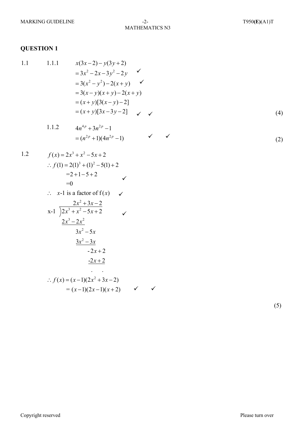MATHEMATICS N3

#### **QUESTION 1**

1.1  
\n1.1.  
\n
$$
x(3x-2) - y(3y+2)
$$
\n
$$
= 3x^2 - 2x - 3y^2 - 2y
$$
\n
$$
= 3(x^2 - y^2) - 2(x+y)
$$
\n
$$
= 3(x-y)(x+y) - 2(x+y)
$$
\n
$$
= (x+y)[3(x-y)-2]
$$
\n
$$
= (x+y)[3x-3y-2]
$$
\n(4)

 $\checkmark$ 

1.1.2 
$$
4n^{4p} + 3n^{2p} - 1
$$
  
=  $(n^{2p} + 1)(4n^{2p} - 1)$   $\checkmark$  (2)

1.2  
\n
$$
f(x) = 2x^3 + x^2 - 5x + 2
$$
\n
$$
\therefore f(1) = 2(1)^3 + (1)^2 - 5(1) + 2
$$
\n
$$
= 2 + 1 - 5 + 2
$$
\n
$$
= 0
$$
\n
$$
\therefore x - 1 \text{ is a factor of } f(x)
$$
\n
$$
x - 1 \overline{\smash)x^3 + x^2 - 5x + 2}
$$
\n
$$
2x^3 - 2x^2
$$
\n
$$
3x^2 - 5x
$$
\n
$$
3x^2 - 3x
$$

 $-2x + 2$ 

$$
\therefore f(x) = (x-1)(2x^2 + 3x - 2)
$$
  
= (x-1)(2x-1)(x+2)

 $-2x+2$ 

(5)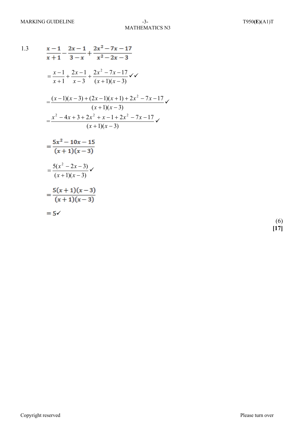1.3  
\n
$$
\frac{x-1}{x+1} - \frac{2x-1}{3-x} + \frac{2x^2 - 7x - 17}{x^2 - 2x - 3}
$$
\n
$$
= \frac{x-1}{x+1} + \frac{2x-1}{x-3} + \frac{2x^2 - 7x - 17}{(x+1)(x-3)} \checkmark
$$
\n
$$
= \frac{(x-1)(x-3) + (2x-1)(x+1) + 2x^2 - 7x - 17}{(x+1)(x-3)}
$$
\n
$$
= \frac{x^2 - 4x + 3 + 2x^2 + x - 1 + 2x^2 - 7x - 17}{(x+1)(x-3)} \checkmark
$$
\n
$$
= \frac{5x^2 - 10x - 15}{(x+1)(x-3)}
$$
\n
$$
= \frac{5(x^2 - 2x - 3)}{(x+1)(x-3)} \checkmark
$$
\n
$$
= \frac{5(x+1)(x-3)}{(x+1)(x-3)}
$$

$$
= 5\checkmark
$$

 (6) **[17]**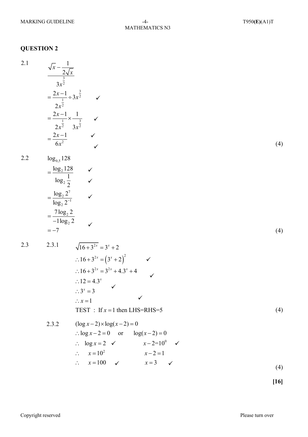2.1  
\n
$$
\frac{\sqrt{x} - \frac{1}{2\sqrt{x}}}{3x^{\frac{3}{2}}}
$$
\n
$$
= \frac{2x-1}{2x^{\frac{1}{2}}} + 3x^{\frac{3}{2}}
$$
\n
$$
= \frac{2x-1}{2x^{\frac{1}{2}}} \times \frac{1}{2x^{\frac{1}{2}}}
$$
\n
$$
= \frac{2x-1}{6x^{\frac{3}{2}}}
$$
\n2.2  
\n
$$
\log_{0.5} 128
$$
\n
$$
= \frac{\log_{2} 128}{\log_{2} \frac{1}{2}}
$$
\n
$$
= \frac{\log_{2} 2^{7}}{-\log_{2} 2}
$$
\n
$$
= -7
$$
\n2.3  
\n2.3.1  
\n
$$
\sqrt{16+3^{2x}} = 3^{x} + 2
$$
\n
$$
\therefore 16+3^{2x} = (3^{x} + 2)^{2}
$$
\n
$$
\therefore 16+3^{2x} = 3^{2x} + 4 \cdot 3^{x} + 4
$$
\n
$$
\therefore 12 = 4 \cdot 3^{x}
$$
\n
$$
\therefore 3^{x} = 3
$$
\n
$$
\therefore x = 1
$$
\n
$$
\text{TEST : If } x = 1 \text{ then } \text{LHS} = \text{RHS} = 5
$$
\n
$$
\therefore \log x - 2 = 0 \text{ or } \log(x - 2) = 0
$$
\n
$$
\therefore \log x = 2 \quad \checkmark
$$
\n
$$
x = 10^{\circ} \quad \checkmark
$$
\n
$$
x = 1
$$
\n
$$
\text{Test : If } x = 1 \text{ then } \text{LHS} = \text{RHS} = 5
$$
\n
$$
\therefore x = 10^{\circ} \quad \checkmark
$$
\n
$$
x = 2 = 1
$$
\n
$$
\therefore x = 10^{\circ} \quad \checkmark
$$
\n
$$
x = 3 \quad \checkmark
$$
\n
$$
x = 1
$$

**[16]**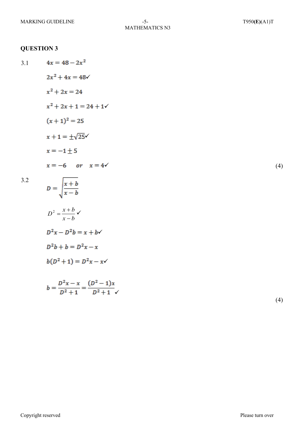- $4x = 48 2x^2$ 3.1
	- $2x^2 + 4x = 48$ 
		- $x^2 + 2x = 24$
		- $x^2 + 2x + 1 = 24 + 1$
		- $(x+1)^2 = 25$
		- $x+1=\pm\sqrt{25}$
		- $x = -1 \pm 5$

$$
x = -6 \quad or \quad x = 4 \checkmark \tag{4}
$$

$$
3.2\phantom{0}
$$

$$
D = \sqrt{\frac{x+b}{x-b}}
$$

$$
D^2 = \frac{x+b}{x-b} \checkmark
$$

$$
D^2x - D^2b = x + b \checkmark
$$

$$
D^2b + b = D^2x - x
$$

$$
b(D^2+1)=D^2x-x\checkmark
$$

$$
b = \frac{D^2x - x}{D^2 + 1} = \frac{(D^2 - 1)x}{D^2 + 1}
$$

(4)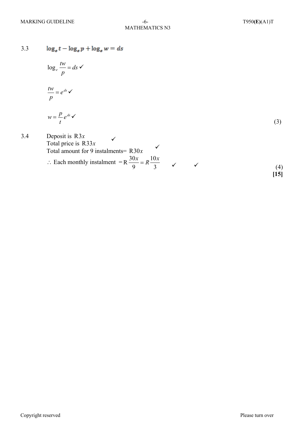$\log_\varepsilon t - \log_\varepsilon p + \log_\varepsilon w = ds$ 3.3

$$
\log_e \frac{tw}{p} = ds \checkmark
$$

$$
\frac{tw}{p} = e^{ds} \checkmark
$$

$$
w = \frac{p}{t} e^{ds} \checkmark
$$
 (3)

3.4 Deposit is R3x  
Total price is R33x  
Total amount for 9 instalments= R30x  
∴ Each monthly instalment = 
$$
R \frac{30x}{9} = R \frac{10x}{3}
$$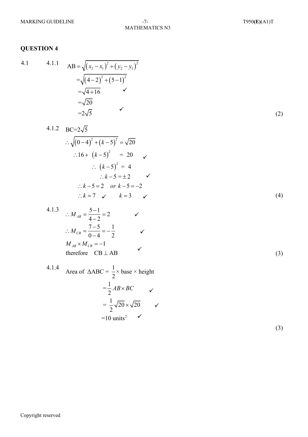## MATHEMATICS N3

#### **QUESTION 4**

4.1 4.1.1 AB = 
$$
\sqrt{(x_2 - x_1)^2 + (y_2 - y_1)^2}
$$
  
\n= $\sqrt{(4-2)^2 + (5-1)^2}$   
\n= $\sqrt{4+16}$    
\n= $\sqrt{20}$   
\n= $2\sqrt{5}$  (2)

4.1.2 BC=
$$
2\sqrt{5}
$$
  
\n $\therefore \sqrt{(0-4)^2 + (k-5)^2} = \sqrt{20}$   
\n $\therefore 16 + (k-5)^2 = 20$   
\n $\therefore (k-5)^2 = 4$   
\n $\therefore k-5 = \pm 2$ 

4.1.3 
$$
\therefore M_{AB} = \frac{5-1}{4-2} = 2 \qquad \checkmark
$$
  
\n
$$
\therefore M_{CB} = \frac{7-5}{0-4} = -\frac{1}{2} \qquad \checkmark
$$
  
\n
$$
M_{AB} \times M_{CB} = -1
$$
  
\ntherefore CB  $\perp$  AB

4.1.4 Area of 
$$
\triangle ABC = \frac{1}{2} \times \text{base} \times \text{height}
$$
  
\n
$$
= \frac{1}{2} AB \times BC
$$
\n
$$
= \frac{1}{2} \sqrt{20} \times \sqrt{20}
$$
\n
$$
= 10 \text{ units}^2
$$

(3)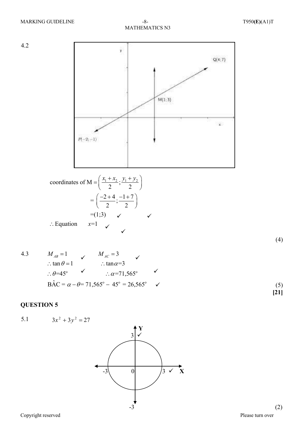

$$
\therefore \tan \theta = 1 \qquad \therefore \tan \alpha = 3
$$
\n
$$
\therefore \theta = 45^{\circ} \qquad \therefore \alpha = 71,565^{\circ} \qquad \checkmark
$$
\n
$$
\text{BAC} = \alpha - \theta = 71,565^{\circ} - 45^{\circ} = 26,565^{\circ} \qquad \checkmark
$$
\n
$$
\tag{5}
$$
\n
$$
\text{BAC} = \begin{bmatrix} 1 & 0 & 0 & 0 \\ 0 & 0 & 0 & 0 \\ 0 & 0 & 0 & 0 \\ 0 & 0 & 0 & 0 \\ 0 & 0 & 0 & 0 \\ 0 & 0 & 0 & 0 \end{bmatrix}
$$

5.1  $3x^2 + 3y^2 = 27$ 

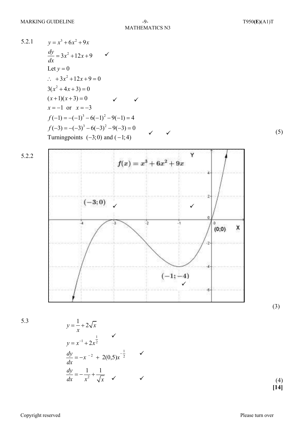MATHEMATICS N3

5.2.1 
$$
y=x^3+6x^2+9x
$$
  
\n
$$
\frac{dy}{dx} = 3x^2+12x+9
$$
\nLet  $y = 0$   
\n $\therefore$   $+3x^2+12x+9=0$   
\n $3(x^2+4x+3)=0$   
\n $(x+1)(x+3) = 0$   $\checkmark$   
\n $x = -1$  or  $x = -3$   
\n $f(-1) = -(-1)^3 - 6(-1)^2 - 9(-1) = 4$   
\n $f(-3) = -(-3)^3 - 6(-3)^2 - 9(-3) = 0$   
\nTurning points  $(-3; 0)$  and  $(-1; 4)$ 



5.3

$$
y = \frac{1}{x} + 2\sqrt{x}
$$
  
\n
$$
y = x^{-1} + 2x^{\frac{1}{2}}
$$
  
\n
$$
\frac{dy}{dx} = -x^{-2} + 2(0,5)x^{-\frac{1}{2}}
$$
  
\n
$$
\frac{dy}{dx} = -\frac{1}{x^2} + \frac{1}{\sqrt{x}}
$$

 (4) **[14]**

(3)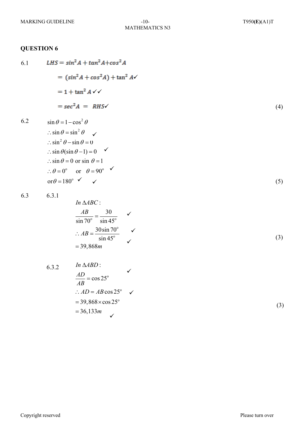6.1 LHS = 
$$
\sin^2 A + \tan^2 A + \cos^2 A
$$
  
\n=  $(\sin^2 A + \cos^2 A) + \tan^2 A \checkmark$   
\n=  $1 + \tan^2 A \checkmark \checkmark$   
\n=  $\sec^2 A = RHS \checkmark$  (4)  
\n6.2  $\sin \theta = 1 - \cos^2 \theta$   
\n $\therefore \sin \theta = \sin^2 \theta$   $\checkmark$   
\n $\therefore \sin^2 \theta - \sin \theta = 0$   
\n $\therefore \sin \theta (\sin \theta - 1) = 0$   $\checkmark$   
\n $\therefore \sin \theta = 0$  or  $\sin \theta = 1$   
\n $\therefore \theta = 0^\circ$  or  $\theta = 90^\circ$   $\checkmark$   
\nor  $\theta = 180^\circ$   $\checkmark$  (5)

$$
6.3 \qquad 6.3.1
$$

In 
$$
\triangle ABC
$$
:  
\n
$$
\frac{AB}{\sin 70^\circ} = \frac{30}{\sin 45^\circ} \quad \checkmark
$$
\n
$$
\therefore AB = \frac{30 \sin 70^\circ}{\sin 45^\circ} \quad \checkmark
$$
\n
$$
= 39,868m \tag{3}
$$

6.3.2 
$$
\ln \triangle ABD
$$
:  
\n
$$
\frac{AD}{AB} = \cos 25^{\circ}
$$
\n
$$
\therefore AD = AB \cos 25^{\circ}
$$
\n
$$
= 39,868 \times \cos 25^{\circ}
$$
\n
$$
= 36,133m
$$

(3)